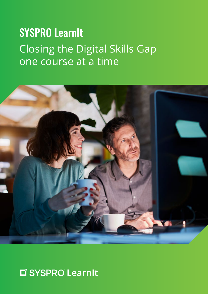# SYSPRO LearnIt Closing the Digital Skills Gap one course at a time



# L' SYSPRO LearnIt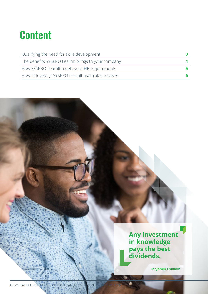# **Content**

| Qualifying the need for skills development         |  |
|----------------------------------------------------|--|
| The benefits SYSPRO LearnIt brings to your company |  |
| How SYSPRO LearnIt meets your HR requirements      |  |
| How to leverage SYSPRO LearnIt user roles courses  |  |

**Any investment in knowledge pays the best dividends.**

**Benjamin Franklin**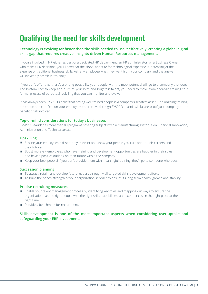# Qualifying the need for skills development

#### **Technology is evolving far faster than the skills needed to use it effectively, creating a global digital skills gap that requires creative, insights-driven Human Resources management.**

If you're involved in HR either as part of a dedicated HR department, an HR administrator, or a Business Owner who makes HR decisions, you'll know that the global appetite for technological expertise is increasing at the expense of traditional business skills. Ask any employee what they want from your company and the answer will inevitably be: "skills-training."

If you don't offer this, there's a strong possibility your people with the most potential will go to a company that does! The bottom line: to keep and nurture your best and brightest talent, you need to move from sporadic training to a formal process of perpetual reskilling that you can monitor and evolve.

It has always been SYSPRO's belief that having well-trained people is a company's greatest asset. The ongoing training, education and certification your employees can receive through SYSPRO LearnIt will future-proof your company to the benefit of all involved.

#### **Top-of-mind considerations for today's businesses**

SYSPRO LearnIt has more than 80 programs covering subjects within Manufacturing, Distribution, Financial, Innovation, Administration and Technical areas.

#### **Upskilling**

- Ensure your employees' skillsets stay relevant and show your people you care about their careers and their futures.
- Boost morale employees who have training and development opportunities are happier in their roles and have a positive outlook on their future within the company.
- Keep your best people! If you don't provide them with meaningful training, they'll go to someone who does.

#### **Succession planning**

- To attract, retain, and develop future leaders through well-targeted skills-development efforts.
- To build the bench-strength of your organization in order to ensure its long-term health, growth and stability.

#### **Precise recruiting measures**

- **E** Enable your talent management process by identifying key roles and mapping out ways to ensure the organization has the right people with the right skills, capabilities, and experiences, in the right place at the right time.
- **Provide a benchmark for recruitment.**

#### **Skills development is one of the most important aspects when considering user-uptake and safeguarding your ERP investment.**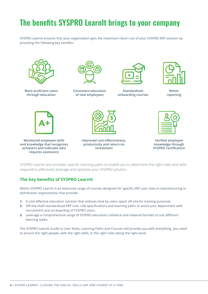# The benefits SYSPRO LearnIt brings to your company

SYSPRO LearnIt ensures that your organization gets the maximum return out of your SYSPRO ERP solution by providing the following key benefits:



**More proficient users through education**



**Consistent education of new employees**



**Standardized onboarding courses**



**Better reporting**



**Monitored employee skills and knowledge that recognizes achievers and indicates who requires assistance**



**Improved cost-effectiveness, productivity and return on investment**



**Verified employee knowledge through SYSPRO Certification**

SYSPRO LearnIt also provides specific learning paths to enable you to determine the right roles and skills required to effectively leverage and optimize your SYSPRO solution.

### **The key benefits of SYSPRO LearnIt**

Within SYSPRO LearnIt is an extensive range of courses designed for specific ERP user roles in manufacturing or distribution organizations that provide:

- **1.** A cost-effective education solution that reduces time by users spent off-site for training purposes.
- **2.** Off-the-shelf standardized ERP User role specifications and learning paths to assist your department with recruitment and on-boarding of SYSPRO users.
- **3.** Leverage a comprehensive range of SYSPRO education collateral and material formats to suit different learning styles.

The SYSPRO LearnIt Guide to User Roles, Learning Paths and Courses will provide you with everything you need to ensure the right people, with the right skills, in the right roles doing the right work.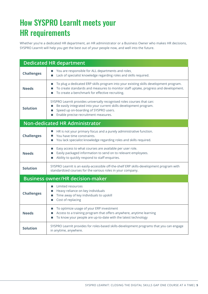# How SYSPRO LearnIt meets your HR requirements

Whether you're a dedicated HR department, an HR administrator or a Business Owner who makes HR decisions, SYSPRO LearnIt will help you get the best out of your people now, and well into the future.

| <b>Dedicated HR department</b>          |                                                                                                                                                                                                                                            |  |  |  |
|-----------------------------------------|--------------------------------------------------------------------------------------------------------------------------------------------------------------------------------------------------------------------------------------------|--|--|--|
| <b>Challenges</b>                       | You are responsible for ALL departments and roles.<br>Lack of specialist knowledge regarding roles and skills required.                                                                                                                    |  |  |  |
| <b>Needs</b>                            | To plug a dedicated ERP skills program into your existing skills development program.<br>L.<br>To create standards and measures to monitor staff uptake, progress and development.<br>To create a benchmark for effective recruiting.<br>П |  |  |  |
| <b>Solution</b>                         | SYSPRO LearnIt provides universally recognised roles courses that can:<br>Be easily integrated into your current skills development program.<br>Speed up on-boarding of SYSPRO users.<br>Enable precise recruitment measures.<br>П         |  |  |  |
|                                         | <b>Non-dedicated HR Administrator</b>                                                                                                                                                                                                      |  |  |  |
| <b>Challenges</b>                       | HR is not your primary focus and a purely administrative function.<br>H.<br>You have time constraints.<br>You lack specialist knowledge regarding roles and skills required.                                                               |  |  |  |
| <b>Needs</b>                            | Easy access to what courses are available per user role.<br>П<br>Easily packaged information to send on to relevant employees.<br>Ability to quickly respond to staff enquiries.<br>П                                                      |  |  |  |
| <b>Solution</b>                         | SYSPRO LearnIt is an easily-accessible off-the-shelf ERP skills-development program with<br>standardized courses for the various roles in your company.                                                                                    |  |  |  |
| <b>Business owner/HR decision-maker</b> |                                                                                                                                                                                                                                            |  |  |  |
| <b>Challenges</b>                       | Limited resources<br>H.<br>Heavy reliance on key individuals<br>L.<br>Time away of key individuals to upskill<br>Cost of replacing<br>П                                                                                                    |  |  |  |
| <b>Needs</b>                            | To optimize usage of your ERP investment<br>L.<br>Access to a training program that offers anywhere, anytime learning<br>To know your people are up-to-date with the latest technology<br>L.                                               |  |  |  |
| <b>Solution</b>                         | SYSPRO LearnIt provides for roles-based skills-development programs that you can engage<br>in anytime, anywhere.                                                                                                                           |  |  |  |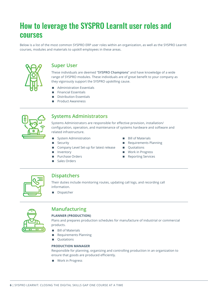## How to leverage the SYSPRO LearnIt user roles and courses

Below is a list of the most common SYSPRO ERP user roles within an organization, as well as the SYSPRO LearnIt courses, modules and materials to upskill employees in these areas.



### **Super User**

These individuals are deemed "**SYSPRO Champions**" and have knowledge of a wide range of SYSPRO modules. These individuals are of great benefit to your company as they vigorously support the SYSPRO upskilling cause.

- **Administration Essentials**
- Financial Essentials
- Distribution Essentials
- Product Awareness



### **Systems Administrators**

Systems Administrators are responsible for effective provision, installation/ configuration, operation, and maintenance of systems hardware and software and related infrastructure.

- System Administration
- **Security**
- Company Level Set-up for latest release
- Inventory
- **Purchase Orders**
- Sales Orders
- **Bill of Materials**
- Requirements Planning
- **Quotations**
- **Work in Progress**
- Reporting Services



### **Dispatchers**

Their duties include monitoring routes, updating call logs, and recording call information.

**Dispatcher** 



## **Manufacturing**

#### **PLANNER (PRODUCTION)**

Plans and prepares production schedules for manufacture of industrial or commercial products.

- **Bill of Materials**
- Requirements Planning
- **Quotations**

#### **PRODUCTION MANAGER**

Responsible for planning, organizing and controlling production in an organization to ensure that goods are produced efficiently.

**Nork in Progress**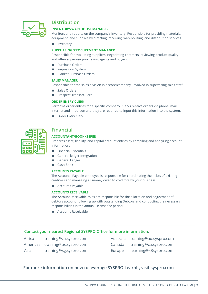

### **Distribution**

#### **INVENTORY/WAREHOUSE MANAGER**

Monitors and reports on the company's inventory. Responsible for providing materials, equipment, and supplies by directing, receiving, warehousing, and distribution services.

**Inventory** 

#### **PURCHASING/PROCUREMENT MANAGER**

Responsible for evaluating suppliers, negotiating contracts, reviewing product quality, and often supervise purchasing agents and buyers.

- **Purchase Orders**
- Requisition System
- Blanket Purchase Orders

#### **SALES MANAGER**

Responsible for the sales division in a store/company. Involved in supervising sales staff.

- Sales Orders
- **Prospect-Transact-Care**

#### **ORDER ENTRY CLERK**

Performs order entries for a specific company. Clerks receive orders via phone, mail, internet and in-person and they are required to input this information into the system.

■ Order Entry Clerk

| ٦ |  |
|---|--|

### **Financial**

#### **ACCOUNTANT/BOOKKEEPER**

Prepares asset, liability, and capital account entries by compiling and analyzing account information.

- **Financial Essentials**
- General ledger Integration
- General Ledger
- Cash Book

#### **ACCOUNTS PAYABLE**

The Accounts Payable employee is responsible for coordinating the debts of existing creditors and managing all money owed to creditors by your business.

**Accounts Payable** 

#### **ACCOUNTS RECEIVABLE**

The Account Receivable roles are responsible for the allocation and adjustment of debtors account, following up with outstanding Debtors and conducting the necessary responsibilities in the annual License fee period.

**Accounts Receivable** 

#### **Contact your nearest Regional SYSPRO Office for more information.**

Africa – training@za.syspro.com

- Americas training@us.syspro.com
- Australia training@au.syspro.com
- Canada training@ca.syspro.com
- Asia training@sg.syspro.com
- Europe learning@k3syspro.com

#### **For more information on how to leverage SYSPRO LearnIt, visit syspro.com**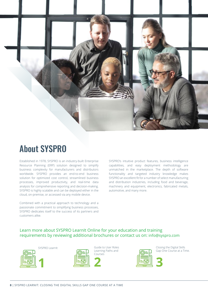

# About SYSPRO

Established in 1978, SYSPRO is an industry-built Enterprise Resource Planning (ERP) solution designed to simplify business complexity for manufacturers and distributors worldwide. SYSPRO provides an end-to-end business solution for optimized cost control, streamlined business processes, improved productivity, and real-time data analysis for comprehensive reporting and decision-making. SYSPRO is highly scalable and can be deployed either in the cloud, on-premise, or accessed via any mobile device.

Combined with a practical approach to technology and a passionate commitment to simplifying business processes, SYSPRO dedicates itself to the success of its partners and customers alike.

SYSPRO's intuitive product features, business intelligence capabilities, and easy deployment methodology are unmatched in the marketplace. The depth of software functionality and targeted industry knowledge makes SYSPRO an excellent fit for a number of select manufacturing and distribution industries, including food and beverage, machinery and equipment, electronics, fabricated metals, automotive, and many more.

#### Learn more about SYSPRO LearnIt Online for your education and training requirements by reviewing additional brochures or contact us on: info@syspro.com





SYSPRO LearnIt Guide to User Roles Learning Paths and Courses



Closing the Digital Skills Gap One Course at a Time.